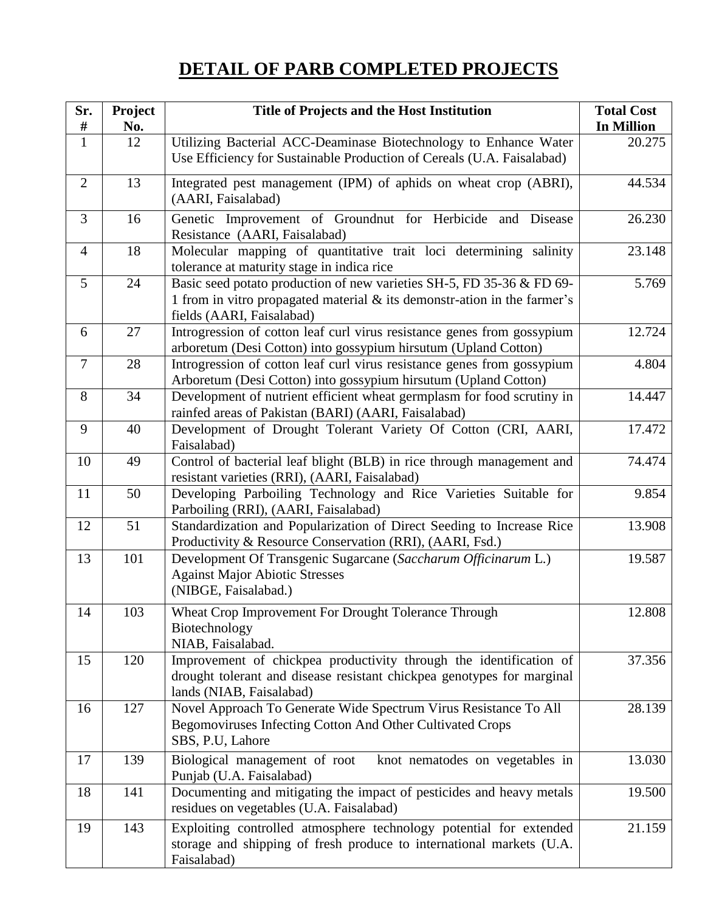## **DETAIL OF PARB COMPLETED PROJECTS**

| Sr.<br>#       | Project<br>No. | Title of Projects and the Host Institution                                                                                                                                     | <b>Total Cost</b><br><b>In Million</b> |
|----------------|----------------|--------------------------------------------------------------------------------------------------------------------------------------------------------------------------------|----------------------------------------|
| $\mathbf{1}$   | 12             | Utilizing Bacterial ACC-Deaminase Biotechnology to Enhance Water<br>Use Efficiency for Sustainable Production of Cereals (U.A. Faisalabad)                                     | 20.275                                 |
| $\overline{2}$ | 13             | Integrated pest management (IPM) of aphids on wheat crop (ABRI),<br>(AARI, Faisalabad)                                                                                         | 44.534                                 |
| 3              | 16             | Genetic Improvement of Groundnut for Herbicide and Disease<br>Resistance (AARI, Faisalabad)                                                                                    | 26.230                                 |
| $\overline{4}$ | 18             | Molecular mapping of quantitative trait loci determining salinity<br>tolerance at maturity stage in indica rice                                                                | 23.148                                 |
| 5              | 24             | Basic seed potato production of new varieties SH-5, FD 35-36 & FD 69-<br>1 from in vitro propagated material & its demonstr-ation in the farmer's<br>fields (AARI, Faisalabad) | 5.769                                  |
| 6              | 27             | Introgression of cotton leaf curl virus resistance genes from gossypium<br>arboretum (Desi Cotton) into gossypium hirsutum (Upland Cotton)                                     | 12.724                                 |
| $\overline{7}$ | 28             | Introgression of cotton leaf curl virus resistance genes from gossypium<br>Arboretum (Desi Cotton) into gossypium hirsutum (Upland Cotton)                                     | 4.804                                  |
| 8              | 34             | Development of nutrient efficient wheat germplasm for food scrutiny in<br>rainfed areas of Pakistan (BARI) (AARI, Faisalabad)                                                  | 14.447                                 |
| 9              | 40             | Development of Drought Tolerant Variety Of Cotton (CRI, AARI,<br>Faisalabad)                                                                                                   | 17.472                                 |
| 10             | 49             | Control of bacterial leaf blight (BLB) in rice through management and<br>resistant varieties (RRI), (AARI, Faisalabad)                                                         | 74.474                                 |
| 11             | 50             | Developing Parboiling Technology and Rice Varieties Suitable for<br>Parboiling (RRI), (AARI, Faisalabad)                                                                       | 9.854                                  |
| 12             | 51             | Standardization and Popularization of Direct Seeding to Increase Rice<br>Productivity & Resource Conservation (RRI), (AARI, Fsd.)                                              | 13.908                                 |
| 13             | 101            | Development Of Transgenic Sugarcane (Saccharum Officinarum L.)<br><b>Against Major Abiotic Stresses</b><br>(NIBGE, Faisalabad.)                                                | 19.587                                 |
| 14             | 103            | Wheat Crop Improvement For Drought Tolerance Through<br>Biotechnology<br>NIAB, Faisalabad.                                                                                     | 12.808                                 |
| 15             | 120            | Improvement of chickpea productivity through the identification of<br>drought tolerant and disease resistant chickpea genotypes for marginal<br>lands (NIAB, Faisalabad)       | 37.356                                 |
| 16             | 127            | Novel Approach To Generate Wide Spectrum Virus Resistance To All<br>Begomoviruses Infecting Cotton And Other Cultivated Crops<br>SBS, P.U, Lahore                              | 28.139                                 |
| 17             | 139            | Biological management of root<br>knot nematodes on vegetables in<br>Punjab (U.A. Faisalabad)                                                                                   | 13.030                                 |
| 18             | 141            | Documenting and mitigating the impact of pesticides and heavy metals<br>residues on vegetables (U.A. Faisalabad)                                                               | 19.500                                 |
| 19             | 143            | Exploiting controlled atmosphere technology potential for extended<br>storage and shipping of fresh produce to international markets (U.A.<br>Faisalabad)                      | 21.159                                 |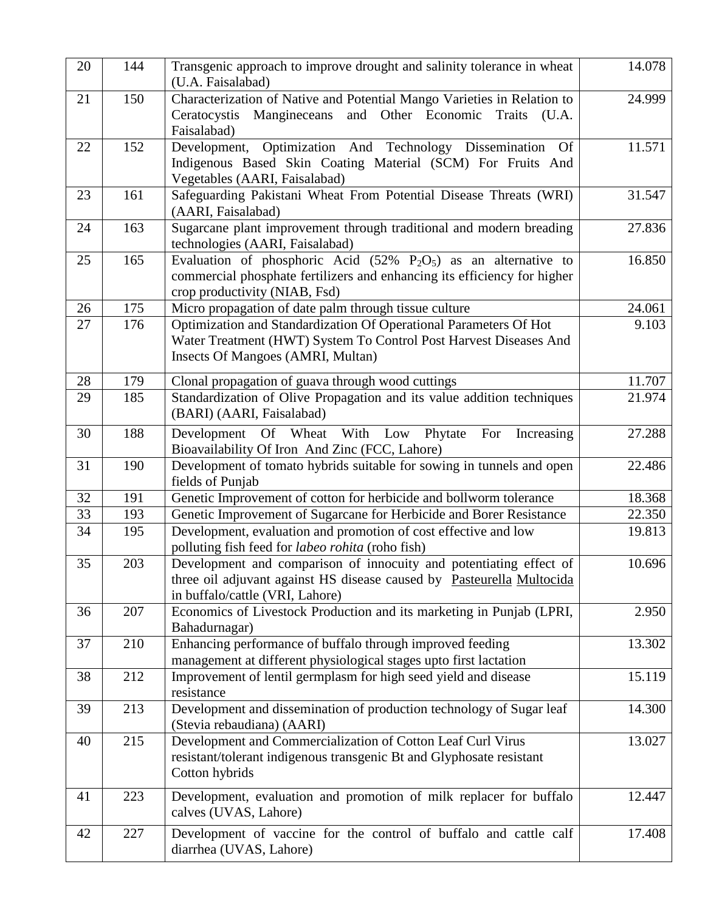| 20 | 144 | Transgenic approach to improve drought and salinity tolerance in wheat<br>(U.A. Faisalabad)                                                                                                    | 14.078 |
|----|-----|------------------------------------------------------------------------------------------------------------------------------------------------------------------------------------------------|--------|
| 21 | 150 | Characterization of Native and Potential Mango Varieties in Relation to<br>Ceratocystis<br>Mangineceans<br>and<br>Other Economic<br>Traits<br>(U.A.<br>Faisalabad)                             | 24.999 |
| 22 | 152 | Development, Optimization And Technology Dissemination<br><b>Of</b><br>Indigenous Based Skin Coating Material (SCM) For Fruits And<br>Vegetables (AARI, Faisalabad)                            | 11.571 |
| 23 | 161 | Safeguarding Pakistani Wheat From Potential Disease Threats (WRI)<br>(AARI, Faisalabad)                                                                                                        | 31.547 |
| 24 | 163 | Sugarcane plant improvement through traditional and modern breading<br>technologies (AARI, Faisalabad)                                                                                         | 27.836 |
| 25 | 165 | Evaluation of phosphoric Acid $(52\% \text{ P}_2\text{O}_5)$ as an alternative to<br>commercial phosphate fertilizers and enhancing its efficiency for higher<br>crop productivity (NIAB, Fsd) | 16.850 |
| 26 | 175 | Micro propagation of date palm through tissue culture                                                                                                                                          | 24.061 |
| 27 | 176 | Optimization and Standardization Of Operational Parameters Of Hot<br>Water Treatment (HWT) System To Control Post Harvest Diseases And<br>Insects Of Mangoes (AMRI, Multan)                    | 9.103  |
| 28 | 179 | Clonal propagation of guava through wood cuttings                                                                                                                                              | 11.707 |
| 29 | 185 | Standardization of Olive Propagation and its value addition techniques<br>(BARI) (AARI, Faisalabad)                                                                                            | 21.974 |
| 30 | 188 | Development Of Wheat With Low Phytate<br>For<br>Increasing<br>Bioavailability Of Iron And Zinc (FCC, Lahore)                                                                                   | 27.288 |
| 31 | 190 | Development of tomato hybrids suitable for sowing in tunnels and open<br>fields of Punjab                                                                                                      | 22.486 |
| 32 | 191 | Genetic Improvement of cotton for herbicide and bollworm tolerance                                                                                                                             | 18.368 |
| 33 | 193 | Genetic Improvement of Sugarcane for Herbicide and Borer Resistance                                                                                                                            | 22.350 |
| 34 | 195 | Development, evaluation and promotion of cost effective and low<br>polluting fish feed for labeo rohita (roho fish)                                                                            | 19.813 |
| 35 | 203 | Development and comparison of innocuity and potentiating effect of<br>three oil adjuvant against HS disease caused by Pasteurella Multocida<br>in buffalo/cattle (VRI, Lahore)                 | 10.696 |
| 36 | 207 | Economics of Livestock Production and its marketing in Punjab (LPRI,<br>Bahadurnagar)                                                                                                          | 2.950  |
| 37 | 210 | Enhancing performance of buffalo through improved feeding<br>management at different physiological stages upto first lactation                                                                 | 13.302 |
| 38 | 212 | Improvement of lentil germplasm for high seed yield and disease<br>resistance                                                                                                                  | 15.119 |
| 39 | 213 | Development and dissemination of production technology of Sugar leaf<br>(Stevia rebaudiana) (AARI)                                                                                             | 14.300 |
| 40 | 215 | Development and Commercialization of Cotton Leaf Curl Virus<br>resistant/tolerant indigenous transgenic Bt and Glyphosate resistant<br>Cotton hybrids                                          | 13.027 |
| 41 | 223 | Development, evaluation and promotion of milk replacer for buffalo<br>calves (UVAS, Lahore)                                                                                                    | 12.447 |
| 42 | 227 | Development of vaccine for the control of buffalo and cattle calf<br>diarrhea (UVAS, Lahore)                                                                                                   | 17.408 |